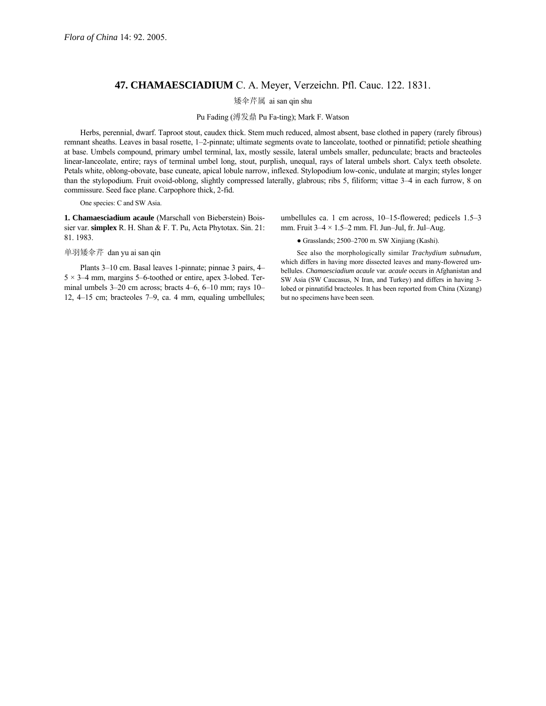# **47. CHAMAESCIADIUM** C. A. Meyer, Verzeichn. Pfl. Cauc. 122. 1831.

## 矮伞芹属 ai san qin shu

#### Pu Fading (溥发鼎 Pu Fa-ting); Mark F. Watson

Herbs, perennial, dwarf. Taproot stout, caudex thick. Stem much reduced, almost absent, base clothed in papery (rarely fibrous) remnant sheaths. Leaves in basal rosette, 1-2-pinnate; ultimate segments ovate to lanceolate, toothed or pinnatifid; petiole sheathing at base. Umbels compound, primary umbel terminal, lax, mostly sessile, lateral umbels smaller, pedunculate; bracts and bracteoles linear-lanceolate, entire; rays of terminal umbel long, stout, purplish, unequal, rays of lateral umbels short. Calyx teeth obsolete. Petals white, oblong-obovate, base cuneate, apical lobule narrow, inflexed. Stylopodium low-conic, undulate at margin; styles longer than the stylopodium. Fruit ovoid-oblong, slightly compressed laterally, glabrous; ribs 5, filiform; vittae 3-4 in each furrow, 8 on commissure. Seed face plane. Carpophore thick, 2-fid.

### One species: C and SW Asia.

**1. Chamaesciadium acaule** (Marschall von Bieberstein) Boissier var. **simplex** R. H. Shan & F. T. Pu, Acta Phytotax. Sin. 21: 81. 1983.

#### 单羽矮伞芹 dan yu ai san qin

Plants 3–10 cm. Basal leaves 1-pinnate; pinnae 3 pairs, 4–  $5 \times 3-4$  mm, margins 5–6-toothed or entire, apex 3-lobed. Terminal umbels  $3-20$  cm across; bracts  $4-6$ ,  $6-10$  mm; rays  $10-$ 12,  $4-15$  cm; bracteoles 7-9, ca. 4 mm, equaling umbellules; umbellules ca. 1 cm across,  $10-15$ -flowered; pedicels  $1.5-3$ mm. Fruit  $3-4 \times 1.5-2$  mm. Fl. Jun-Jul, fr. Jul-Aug.

 $\bullet$  Grasslands; 2500–2700 m. SW Xinjiang (Kashi).

See also the morphologically similar *Trachydium subnudum,* which differs in having more dissected leaves and many-flowered umbellules. *Chamaesciadium acaule* var. *acaule* occurs in Afghanistan and SW Asia (SW Caucasus, N Iran, and Turkey) and differs in having 3 lobed or pinnatifid bracteoles. It has been reported from China (Xizang) but no specimens have been seen.